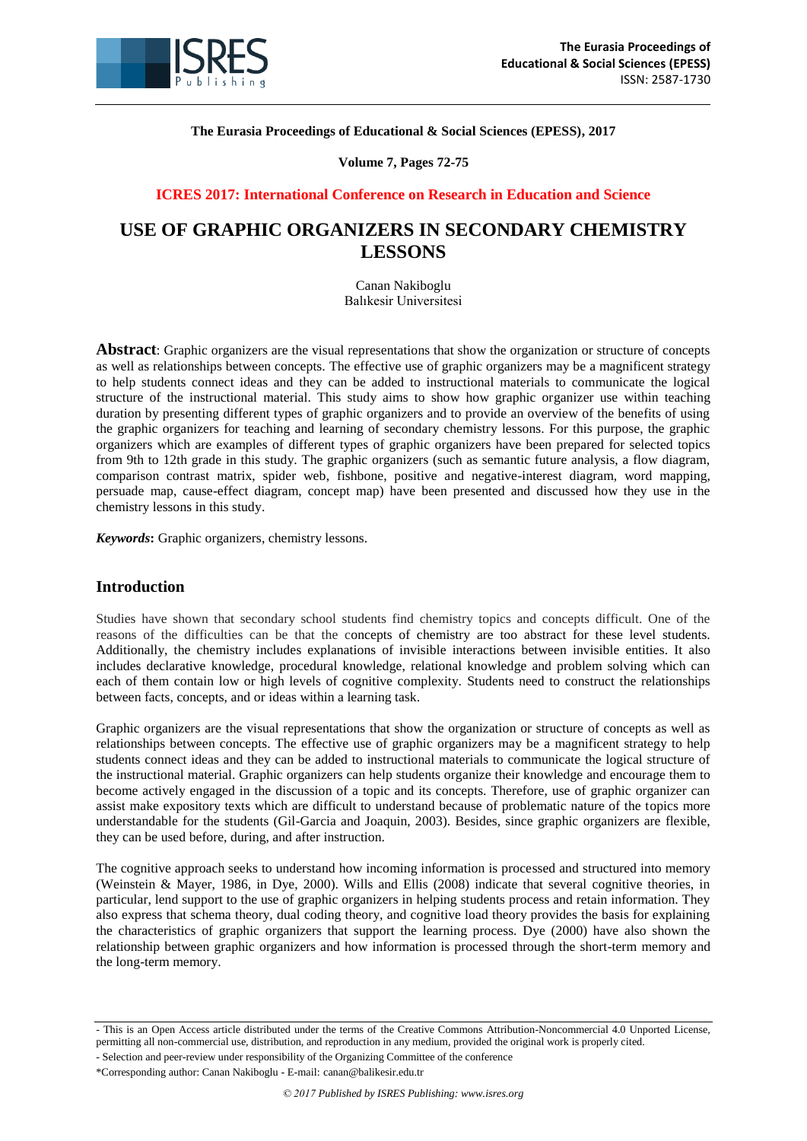

**The Eurasia Proceedings of Educational & Social Sciences (EPESS), 2017**

**Volume 7, Pages 72-75**

## **ICRES 2017: International Conference on Research in Education and Science**

# **USE OF GRAPHIC ORGANIZERS IN SECONDARY CHEMISTRY LESSONS**

Canan Nakiboglu Balıkesir Universitesi

**Abstract**: Graphic organizers are the visual representations that show the organization or structure of concepts as well as relationships between concepts. The effective use of graphic organizers may be a magnificent strategy to help students connect ideas and they can be added to instructional materials to communicate the logical structure of the instructional material. This study aims to show how graphic organizer use within teaching duration by presenting different types of graphic organizers and to provide an overview of the benefits of using the graphic organizers for teaching and learning of secondary chemistry lessons. For this purpose, the graphic organizers which are examples of different types of graphic organizers have been prepared for selected topics from 9th to 12th grade in this study. The graphic organizers (such as semantic future analysis, a flow diagram, comparison contrast matrix, spider web, fishbone, positive and negative-interest diagram, word mapping, persuade map, cause-effect diagram, concept map) have been presented and discussed how they use in the chemistry lessons in this study.

*Keywords***:** Graphic organizers, chemistry lessons.

# **Introduction**

Studies have shown that secondary school students find chemistry topics and concepts difficult. One of the reasons of the difficulties can be that the concepts of chemistry are too abstract for these level students. Additionally, the chemistry includes explanations of invisible interactions between invisible entities. It also includes declarative knowledge, procedural knowledge, relational knowledge and problem solving which can each of them contain low or high levels of cognitive complexity. Students need to construct the relationships between facts, concepts, and or ideas within a learning task.

Graphic organizers are the visual representations that show the organization or structure of concepts as well as relationships between concepts. The effective use of graphic organizers may be a magnificent strategy to help students connect ideas and they can be added to instructional materials to communicate the logical structure of the instructional material. Graphic organizers can help students organize their knowledge and encourage them to become actively engaged in the discussion of a topic and its concepts. Therefore, use of graphic organizer can assist make expository texts which are difficult to understand because of problematic nature of the topics more understandable for the students (Gil-Garcia and Joaquin, 2003). Besides, since graphic organizers are flexible, they can be used before, during, and after instruction.

The cognitive approach seeks to understand how incoming information is processed and structured into memory (Weinstein & Mayer, 1986, in Dye, 2000). Wills and Ellis (2008) indicate that several cognitive theories, in particular, lend support to the use of graphic organizers in helping students process and retain information. They also express that schema theory, dual coding theory, and cognitive load theory provides the basis for explaining the characteristics of graphic organizers that support the learning process. Dye (2000) have also shown the relationship between graphic organizers and how information is processed through the short-term memory and the long-term memory.

<sup>-</sup> This is an Open Access article distributed under the terms of the Creative Commons Attribution-Noncommercial 4.0 Unported License, permitting all non-commercial use, distribution, and reproduction in any medium, provided the original work is properly cited.

<sup>-</sup> Selection and peer-review under responsibility of the Organizing Committee of the conference

<sup>\*</sup>Corresponding author: Canan Nakiboglu - E-mail: canan@balikesir.edu.tr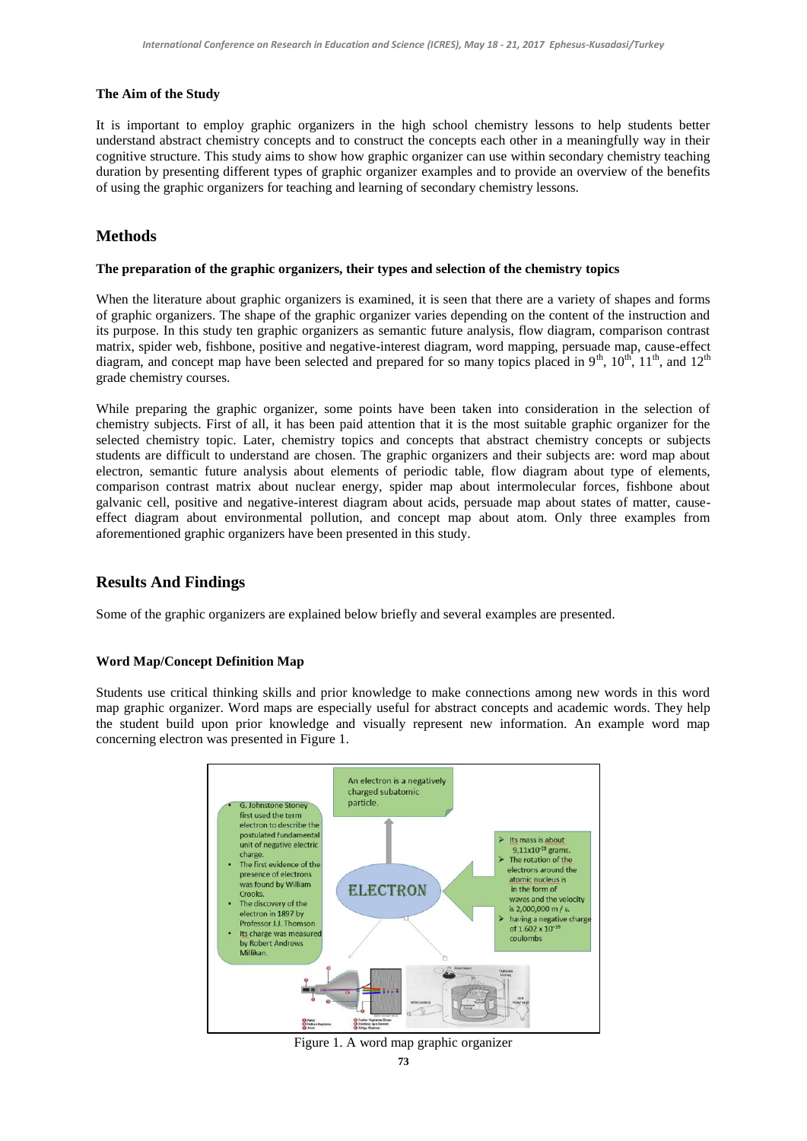#### **The Aim of the Study**

It is important to employ graphic organizers in the high school chemistry lessons to help students better understand abstract chemistry concepts and to construct the concepts each other in a meaningfully way in their cognitive structure. This study aims to show how graphic organizer can use within secondary chemistry teaching duration by presenting different types of graphic organizer examples and to provide an overview of the benefits of using the graphic organizers for teaching and learning of secondary chemistry lessons.

# **Methods**

#### **The preparation of the graphic organizers, their types and selection of the chemistry topics**

When the literature about graphic organizers is examined, it is seen that there are a variety of shapes and forms of graphic organizers. The shape of the graphic organizer varies depending on the content of the instruction and its purpose. In this study ten graphic organizers as semantic future analysis, flow diagram, comparison contrast matrix, spider web, fishbone, positive and negative-interest diagram, word mapping, persuade map, cause-effect diagram, and concept map have been selected and prepared for so many topics placed in 9<sup>th</sup>, 10<sup>th</sup>, 11<sup>th</sup>, and 12<sup>th</sup> grade chemistry courses.

While preparing the graphic organizer, some points have been taken into consideration in the selection of chemistry subjects. First of all, it has been paid attention that it is the most suitable graphic organizer for the selected chemistry topic. Later, chemistry topics and concepts that abstract chemistry concepts or subjects students are difficult to understand are chosen. The graphic organizers and their subjects are: word map about electron, semantic future analysis about elements of periodic table, flow diagram about type of elements, comparison contrast matrix about nuclear energy, spider map about intermolecular forces, fishbone about galvanic cell, positive and negative-interest diagram about acids, persuade map about states of matter, causeeffect diagram about environmental pollution, and concept map about atom. Only three examples from aforementioned graphic organizers have been presented in this study.

# **Results And Findings**

Some of the graphic organizers are explained below briefly and several examples are presented.

### **Word Map/Concept Definition Map**

Students use critical thinking skills and prior knowledge to make connections among new words in this word map graphic organizer. Word maps are especially useful for abstract concepts and academic words. They help the student build upon prior knowledge and visually represent new information. An example word map concerning electron was presented in Figure 1.



Figure 1. A word map graphic organizer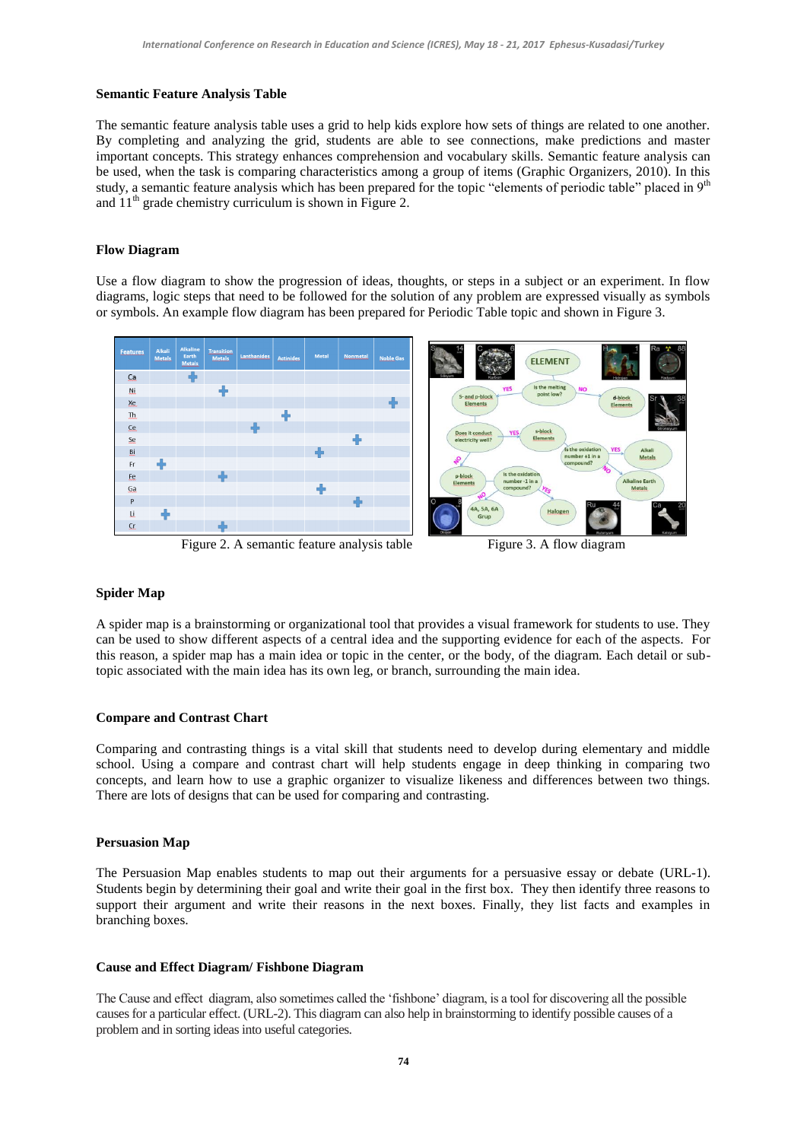#### **Semantic Feature Analysis Table**

The semantic feature analysis table uses a grid to help kids explore how sets of things are related to one another. By completing and analyzing the grid, students are able to see connections, make predictions and master important concepts. This strategy enhances comprehension and vocabulary skills. Semantic feature analysis can be used, when the task is comparing characteristics among a group of items (Graphic Organizers, 2010). In this study, a semantic feature analysis which has been prepared for the topic "elements of periodic table" placed in 9<sup>th</sup> and  $11<sup>th</sup>$  grade chemistry curriculum is shown in Figure 2.

#### **Flow Diagram**

Use a flow diagram to show the progression of ideas, thoughts, or steps in a subject or an experiment. In flow diagrams, logic steps that need to be followed for the solution of any problem are expressed visually as symbols or symbols. An example flow diagram has been prepared for Periodic Table topic and shown in Figure 3.



#### **Spider Map**

A spider map is a brainstorming or organizational tool that provides a visual framework for students to use. They can be used to show different aspects of a central idea and the supporting evidence for each of the aspects. For this reason, a spider map has a main idea or topic in the center, or the body, of the diagram. Each detail or subtopic associated with the main idea has its own leg, or branch, surrounding the main idea.

#### **Compare and Contrast Chart**

Comparing and contrasting things is a vital skill that students need to develop during elementary and middle school. Using a compare and contrast chart will help students engage in deep thinking in comparing two concepts, and learn how to use a graphic organizer to visualize likeness and differences between two things. There are lots of designs that can be used for comparing and contrasting.

#### **Persuasion Map**

The Persuasion Map enables students to map out their arguments for a persuasive essay or debate (URL-1). Students begin by determining their goal and write their goal in the first box. They then identify three reasons to support their argument and write their reasons in the next boxes. Finally, they list facts and examples in branching boxes.

#### **Cause and Effect Diagram/ Fishbone Diagram**

The Cause and effect diagram, also sometimes called the "fishbone" diagram, is a tool for discovering all the possible causes for a particular effect. (URL-2). This diagram can also help in brainstorming to identify possible causes of a problem and in sorting ideas into useful categories.